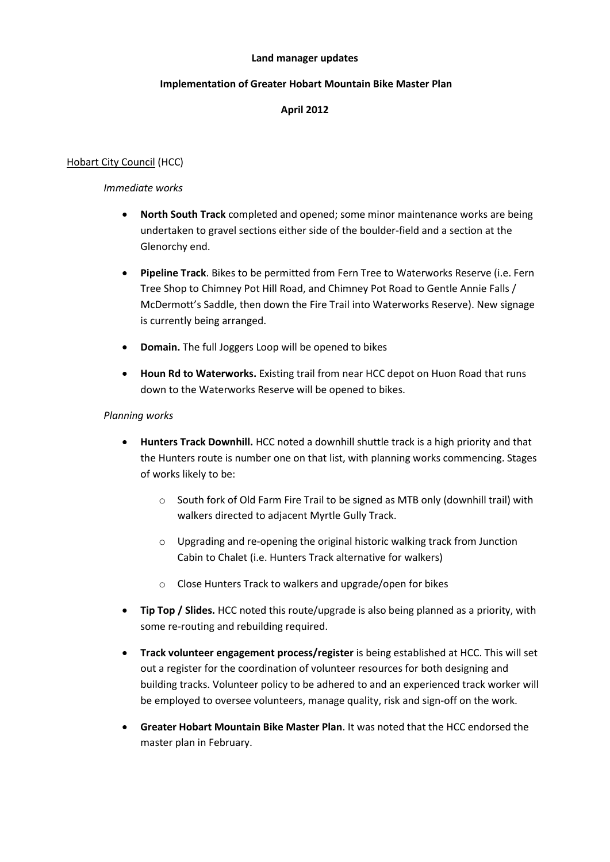#### **Land manager updates**

### **Implementation of Greater Hobart Mountain Bike Master Plan**

## **April 2012**

## Hobart City Council (HCC)

### *Immediate works*

- **North South Track** completed and opened; some minor maintenance works are being undertaken to gravel sections either side of the boulder-field and a section at the Glenorchy end.
- **Pipeline Track**. Bikes to be permitted from Fern Tree to Waterworks Reserve (i.e. Fern Tree Shop to Chimney Pot Hill Road, and Chimney Pot Road to Gentle Annie Falls / McDermott's Saddle, then down the Fire Trail into Waterworks Reserve). New signage is currently being arranged.
- **Domain.** The full Joggers Loop will be opened to bikes
- **Houn Rd to Waterworks.** Existing trail from near HCC depot on Huon Road that runs down to the Waterworks Reserve will be opened to bikes.

## *Planning works*

- **Hunters Track Downhill.** HCC noted a downhill shuttle track is a high priority and that the Hunters route is number one on that list, with planning works commencing. Stages of works likely to be:
	- o South fork of Old Farm Fire Trail to be signed as MTB only (downhill trail) with walkers directed to adjacent Myrtle Gully Track.
	- $\circ$  Upgrading and re-opening the original historic walking track from Junction Cabin to Chalet (i.e. Hunters Track alternative for walkers)
	- o Close Hunters Track to walkers and upgrade/open for bikes
- **Tip Top / Slides.** HCC noted this route/upgrade is also being planned as a priority, with some re-routing and rebuilding required.
- **Track volunteer engagement process/register** is being established at HCC. This will set out a register for the coordination of volunteer resources for both designing and building tracks. Volunteer policy to be adhered to and an experienced track worker will be employed to oversee volunteers, manage quality, risk and sign-off on the work.
- **Greater Hobart Mountain Bike Master Plan**. It was noted that the HCC endorsed the master plan in February.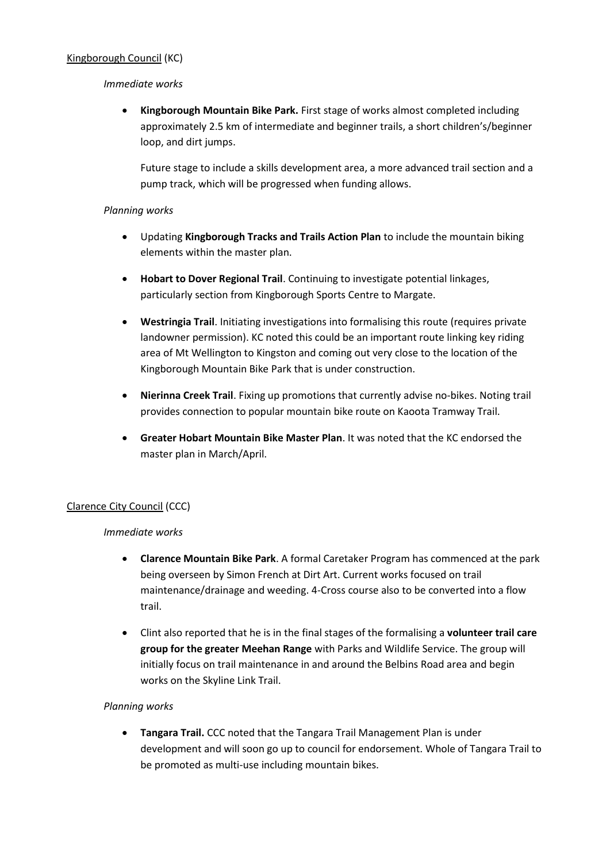## Kingborough Council (KC)

### *Immediate works*

 **Kingborough Mountain Bike Park.** First stage of works almost completed including approximately 2.5 km of intermediate and beginner trails, a short children's/beginner loop, and dirt jumps.

Future stage to include a skills development area, a more advanced trail section and a pump track, which will be progressed when funding allows.

### *Planning works*

- Updating **Kingborough Tracks and Trails Action Plan** to include the mountain biking elements within the master plan.
- **Hobart to Dover Regional Trail**. Continuing to investigate potential linkages, particularly section from Kingborough Sports Centre to Margate.
- **Westringia Trail**. Initiating investigations into formalising this route (requires private landowner permission). KC noted this could be an important route linking key riding area of Mt Wellington to Kingston and coming out very close to the location of the Kingborough Mountain Bike Park that is under construction.
- **Nierinna Creek Trail**. Fixing up promotions that currently advise no-bikes. Noting trail provides connection to popular mountain bike route on Kaoota Tramway Trail.
- **Greater Hobart Mountain Bike Master Plan**. It was noted that the KC endorsed the master plan in March/April.

### Clarence City Council (CCC)

### *Immediate works*

- **Clarence Mountain Bike Park**. A formal Caretaker Program has commenced at the park being overseen by Simon French at Dirt Art. Current works focused on trail maintenance/drainage and weeding. 4-Cross course also to be converted into a flow trail.
- Clint also reported that he is in the final stages of the formalising a **volunteer trail care group for the greater Meehan Range** with Parks and Wildlife Service. The group will initially focus on trail maintenance in and around the Belbins Road area and begin works on the Skyline Link Trail.

### *Planning works*

 **Tangara Trail.** CCC noted that the Tangara Trail Management Plan is under development and will soon go up to council for endorsement. Whole of Tangara Trail to be promoted as multi-use including mountain bikes.